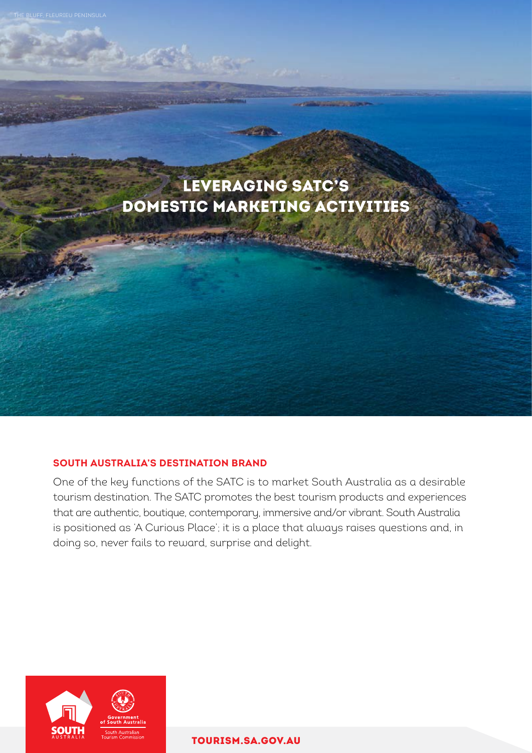

# **SOUTH AUSTRALIA'S DESTINATION BRAND**

One of the key functions of the SATC is to market South Australia as a desirable tourism destination. The SATC promotes the best tourism products and experiences that are authentic, boutique, contemporary, immersive and/or vibrant. South Australia is positioned as 'A Curious Place'; it is a place that always raises questions and, in doing so, never fails to reward, surprise and delight.



[TOURISM.SA.GOV.AU](http://tourism.sa.gov.au)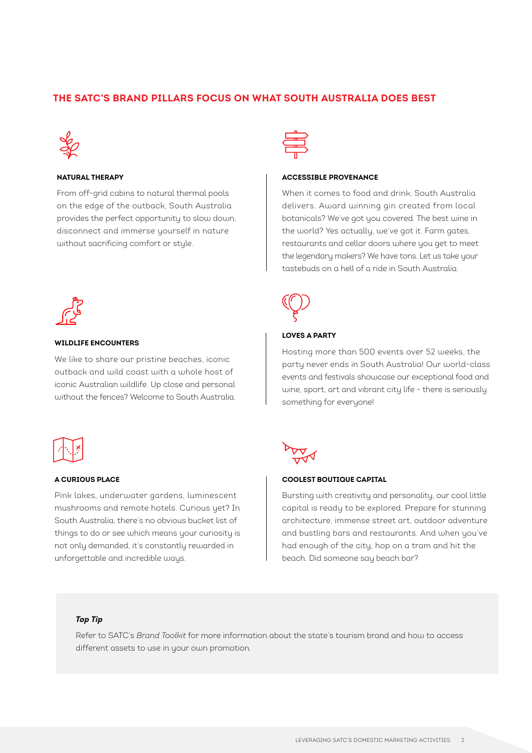## **THE SATC'S BRAND PILLARS FOCUS ON WHAT SOUTH AUSTRALIA DOES BEST**



### **NATURAL THERAPY**

From off-grid cabins to natural thermal pools on the edge of the outback, South Australia provides the perfect opportunity to slow down, disconnect and immerse yourself in nature without sacrificing comfort or style.



#### **ACCESSIBLE PROVENANCE**

When it comes to food and drink, South Australia delivers. Award winning gin created from local botanicals? We've got you covered. The best wine in the world? Yes actually, we've got it. Farm gates, restaurants and cellar doors where you get to meet the legendary makers? We have tons. Let us take your tastebuds on a hell of a ride in South Australia.



#### **WILDLIFE ENCOUNTERS**

We like to share our pristine beaches, iconic outback and wild coast with a whole host of iconic Australian wildlife. Up close and personal without the fences? Welcome to South Australia.



#### **A CURIOUS PLACE**

Pink lakes, underwater gardens, luminescent mushrooms and remote hotels. Curious yet? In South Australia, there's no obvious bucket list of things to do or see which means your curiosity is not only demanded, it's constantly rewarded in unforgettable and incredible ways.



#### **LOVES A PARTY**

Hosting more than 500 events over 52 weeks, the party never ends in South Australia! Our world-class events and festivals showcase our exceptional food and wine, sport, art and vibrant city life - there is seriously something for everyone!



#### **COOLEST BOUTIQUE CAPITAL**

Bursting with creativity and personality, our cool little capital is ready to be explored. Prepare for stunning architecture, immense street art, outdoor adventure and bustling bars and restaurants. And when you've had enough of the city, hop on a tram and hit the beach. Did someone say beach bar?

#### *Top Tip*

Refer to SATC's *Brand Toolkit* for more information about the state's tourism brand and how to access different assets to use in your own promotion.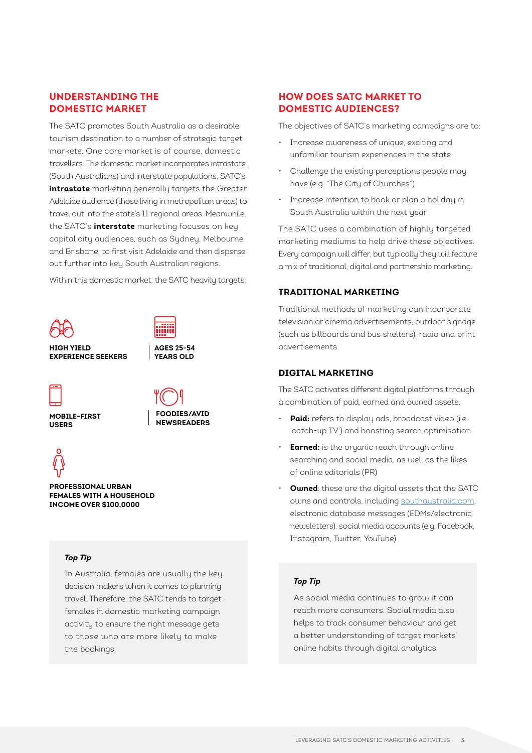## **UNDERSTANDING THE DOMESTIC MARKET**

The SATC promotes South Australia as a desirable tourism destination to a number of strategic target markets. One core market is of course, domestic travellers. The domestic market incorporates intrastate (South Australians) and interstate populations. SATC's **intrastate** marketing generally targets the Greater Adelaide audience (those living in metropolitan areas) to travel out into the state's 11 regional areas. Meanwhile, the SATC's **interstate** marketing focuses on key capital city audiences, such as Sydney, Melbourne and Brisbane, to first visit Adelaide and then disperse out further into key South Australian regions. Within this domestic market, the SATC heavily targets:





**AGES 25-54 YEARS OLD**

**HIGH YIELD EXPERIENCE SEEKERS**



**MOBILE-FIRST USERS**





**PROFESSIONAL URBAN FEMALES WITH A HOUSEHOLD INCOME OVER \$100,0000**

### *Top Tip*

In Australia, females are usually the key decision makers when it comes to planning travel. Therefore, the SATC tends to target females in domestic marketing campaign activity to ensure the right message gets to those who are more likely to make the bookings.

## **HOW DOES SATC MARKET TO DOMESTIC AUDIENCES?**

The objectives of SATC's marketing campaigns are to:

- Increase awareness of unique, exciting and unfamiliar tourism experiences in the state
- Challenge the existing perceptions people may have (e.g. "The City of Churches")
- Increase intention to book or plan a holiday in South Australia within the next year

The SATC uses a combination of highly targeted marketing mediums to help drive these objectives. Every campaign will differ, but typically they will feature a mix of traditional, digital and partnership marketing.

### **TRADITIONAL MARKETING**

Traditional methods of marketing can incorporate television or cinema advertisements, outdoor signage (such as billboards and bus shelters), radio and print advertisements.

### **DIGITAL MARKETING**

The SATC activates different digital platforms through a combination of paid, earned and owned assets.

- **Paid:** refers to display ads, broadcast video (i.e. 'catch-up TV') and boosting search optimisation
- **Earned:** is the organic reach through online searching and social media, as well as the likes of online editorials (PR)
- **Owned**: these are the digital assets that the SATC owns and controls, including [southaustralia.com](http://www.southaustralia.com), electronic database messages (EDMs/electronic newsletters), social media accounts (e.g. Facebook, Instagram, Twitter, YouTube)

### *Top Tip*

As social media continues to grow it can reach more consumers. Social media also helps to track consumer behaviour and get a better understanding of target markets' online habits through digital analytics.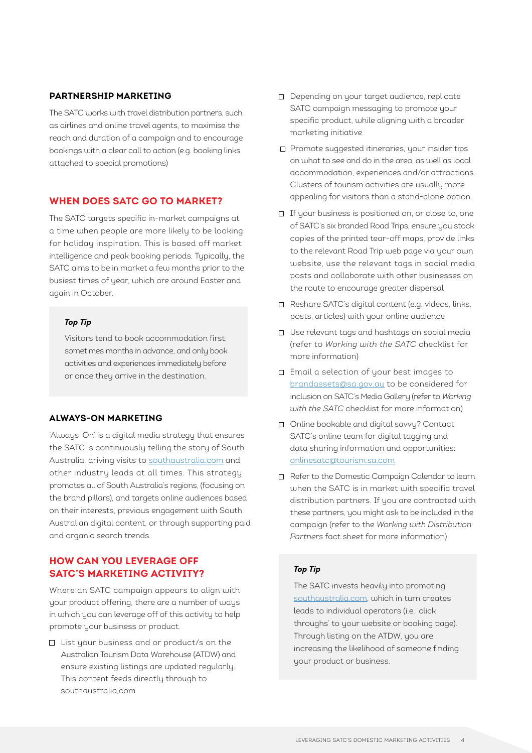### **PARTNERSHIP MARKETING**

The SATC works with travel distribution partners, such as airlines and online travel agents, to maximise the reach and duration of a campaign and to encourage bookings with a clear call to action (e.g. booking links attached to special promotions)

## **WHEN DOES SATC GO TO MARKET?**

The SATC targets specific in-market campaigns at a time when people are more likely to be looking for holiday inspiration. This is based off market intelligence and peak booking periods. Typically, the SATC aims to be in market a few months prior to the busiest times of year, which are around Easter and again in October.

### *Top Tip*

Visitors tend to book accommodation first, sometimes months in advance, and only book activities and experiences immediately before or once they arrive in the destination.

#### **ALWAYS-ON MARKETING**

'Always-On' is a digital media strategy that ensures the SATC is continuously telling the story of South Australia, driving visits to [southaustralia.com](http://www.southaustralia.com) and other industry leads at all times. This strategy promotes all of South Australia's regions, (focusing on the brand pillars), and targets online audiences based on their interests, previous engagement with South Australian digital content, or through supporting paid and organic search trends.

## **HOW CAN YOU LEVERAGE OFF SATC'S MARKETING ACTIVITY?**

Where an SATC campaign appears to align with your product offering, there are a number of ways in which you can leverage off of this activity to help promote your business or product.

List your business and or product/s on the Australian Tourism Data Warehouse (ATDW) and ensure existing listings are updated regularly. This content feeds directly through to southaustralia,com

- Depending on your target audience, replicate SATC campaign messaging to promote your specific product, while aligning with a broader marketing initiative
- □ Promote suggested itineraries, your insider tips on what to see and do in the area, as well as local accommodation, experiences and/or attractions. Clusters of tourism activities are usually more appealing for visitors than a stand-alone option.
- □ If your business is positioned on, or close to, one of SATC's six branded Road Trips, ensure you stock copies of the printed tear-off maps, provide links to the relevant Road Trip web page via your own website, use the relevant tags in social media posts and collaborate with other businesses on the route to encourage greater dispersal
- Reshare SATC's digital content (e.g. videos, links, posts, articles) with your online audience
- Use relevant tags and hashtags on social media (refer to *Working with the SATC* checklist for more information)
- Email a selection of your best images to [brandassets@sa.gov.au](mailto:brandassets%40sa.gov.au?subject=) to be considered for inclusion on SATC's Media Gallery (refer to *Working with the SATC* checklist for more information)
- Online bookable and digital savvy? Contact SATC's online team for digital tagging and data sharing information and opportunities: [onlinesatc@tourism.sa.com](mailto:onlinesatc%40tourism.sa.com?subject=)
- □ Refer to the Domestic Campaign Calendar to learn when the SATC is in market with specific travel distribution partners. If you are contracted with these partners, you might ask to be included in the campaign (refer to the *Working with Distribution Partners* fact sheet for more information)

### *Top Tip*

The SATC invests heavily into promoting [southaustralia.com,](http://www.southaustralia.com) which in turn creates leads to individual operators (i.e. 'click throughs' to your website or booking page). Through listing on the ATDW, you are increasing the likelihood of someone finding your product or business.